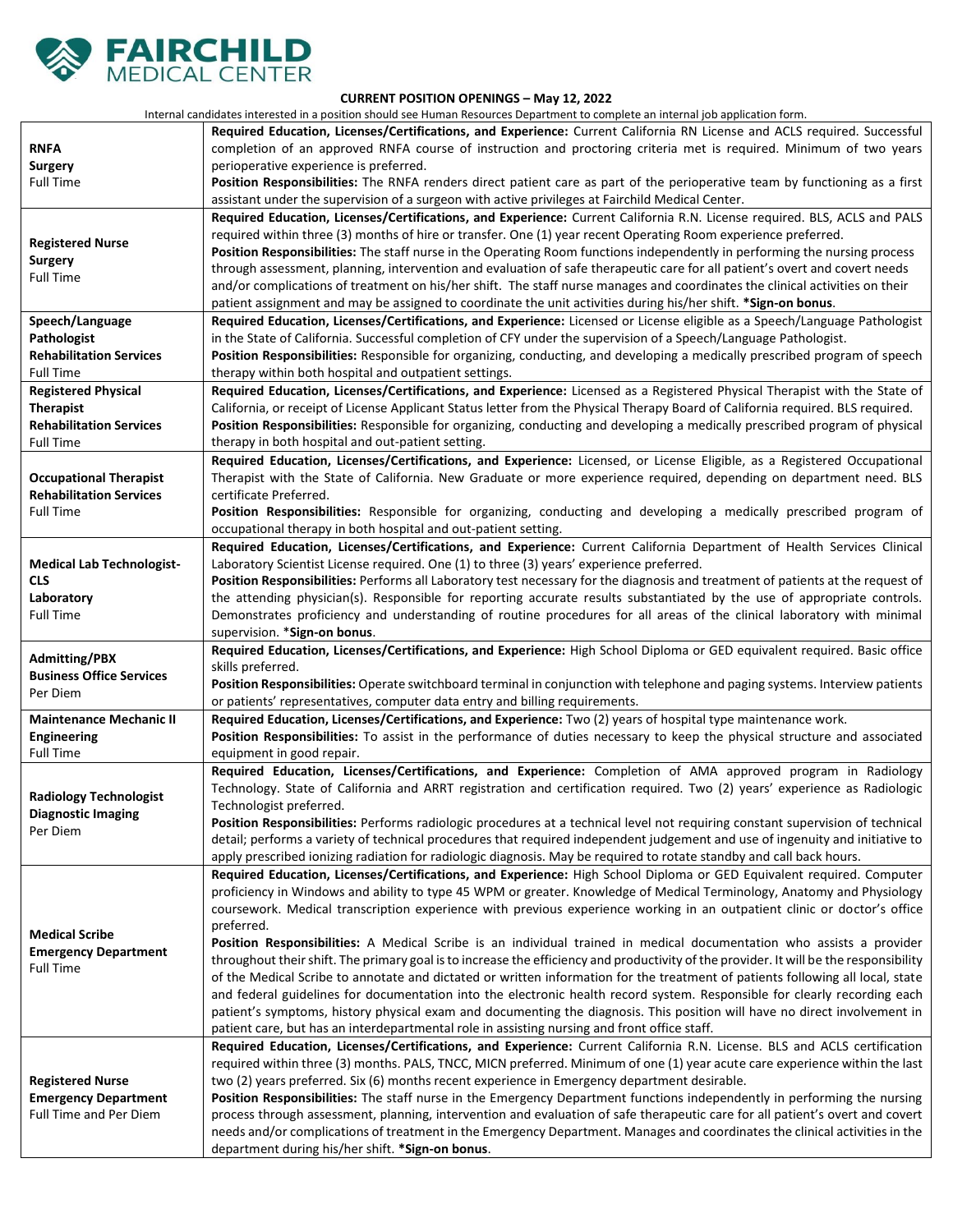

## **CURRENT POSITION OPENINGS – May 12, 2022**

Internal candidates interested in a position should see Human Resources Department to complete an internal job application form.

|                                                                                                      | Internal candidates interested in a position should see Human Resources Department to complete an internal job application form.                                                                                                                                                                                                                                                                                                                                                                                                                                                                                                                                                                                                                                                                                                                                                                                                                                                                                                                                                                                                                        |
|------------------------------------------------------------------------------------------------------|---------------------------------------------------------------------------------------------------------------------------------------------------------------------------------------------------------------------------------------------------------------------------------------------------------------------------------------------------------------------------------------------------------------------------------------------------------------------------------------------------------------------------------------------------------------------------------------------------------------------------------------------------------------------------------------------------------------------------------------------------------------------------------------------------------------------------------------------------------------------------------------------------------------------------------------------------------------------------------------------------------------------------------------------------------------------------------------------------------------------------------------------------------|
| <b>RNFA</b><br><b>Surgery</b><br><b>Full Time</b>                                                    | Required Education, Licenses/Certifications, and Experience: Current California RN License and ACLS required. Successful<br>completion of an approved RNFA course of instruction and proctoring criteria met is required. Minimum of two years<br>perioperative experience is preferred.<br>Position Responsibilities: The RNFA renders direct patient care as part of the perioperative team by functioning as a first                                                                                                                                                                                                                                                                                                                                                                                                                                                                                                                                                                                                                                                                                                                                 |
|                                                                                                      | assistant under the supervision of a surgeon with active privileges at Fairchild Medical Center.                                                                                                                                                                                                                                                                                                                                                                                                                                                                                                                                                                                                                                                                                                                                                                                                                                                                                                                                                                                                                                                        |
| <b>Registered Nurse</b><br><b>Surgery</b><br><b>Full Time</b>                                        | Required Education, Licenses/Certifications, and Experience: Current California R.N. License required. BLS, ACLS and PALS<br>required within three (3) months of hire or transfer. One (1) year recent Operating Room experience preferred.<br>Position Responsibilities: The staff nurse in the Operating Room functions independently in performing the nursing process<br>through assessment, planning, intervention and evaluation of safe therapeutic care for all patient's overt and covert needs<br>and/or complications of treatment on his/her shift. The staff nurse manages and coordinates the clinical activities on their<br>patient assignment and may be assigned to coordinate the unit activities during his/her shift. * Sign-on bonus.                                                                                                                                                                                                                                                                                                                                                                                             |
| Speech/Language<br>Pathologist<br><b>Rehabilitation Services</b><br><b>Full Time</b>                 | Required Education, Licenses/Certifications, and Experience: Licensed or License eligible as a Speech/Language Pathologist<br>in the State of California. Successful completion of CFY under the supervision of a Speech/Language Pathologist.<br>Position Responsibilities: Responsible for organizing, conducting, and developing a medically prescribed program of speech<br>therapy within both hospital and outpatient settings.                                                                                                                                                                                                                                                                                                                                                                                                                                                                                                                                                                                                                                                                                                                   |
| <b>Registered Physical</b><br><b>Therapist</b><br><b>Rehabilitation Services</b><br><b>Full Time</b> | Required Education, Licenses/Certifications, and Experience: Licensed as a Registered Physical Therapist with the State of<br>California, or receipt of License Applicant Status letter from the Physical Therapy Board of California required. BLS required.<br>Position Responsibilities: Responsible for organizing, conducting and developing a medically prescribed program of physical<br>therapy in both hospital and out-patient setting.                                                                                                                                                                                                                                                                                                                                                                                                                                                                                                                                                                                                                                                                                                       |
| <b>Occupational Therapist</b><br><b>Rehabilitation Services</b><br><b>Full Time</b>                  | Required Education, Licenses/Certifications, and Experience: Licensed, or License Eligible, as a Registered Occupational<br>Therapist with the State of California. New Graduate or more experience required, depending on department need. BLS<br>certificate Preferred.<br>Position Responsibilities: Responsible for organizing, conducting and developing a medically prescribed program of<br>occupational therapy in both hospital and out-patient setting.                                                                                                                                                                                                                                                                                                                                                                                                                                                                                                                                                                                                                                                                                       |
| <b>Medical Lab Technologist-</b><br><b>CLS</b><br>Laboratory<br><b>Full Time</b>                     | Required Education, Licenses/Certifications, and Experience: Current California Department of Health Services Clinical<br>Laboratory Scientist License required. One (1) to three (3) years' experience preferred.<br>Position Responsibilities: Performs all Laboratory test necessary for the diagnosis and treatment of patients at the request of<br>the attending physician(s). Responsible for reporting accurate results substantiated by the use of appropriate controls.<br>Demonstrates proficiency and understanding of routine procedures for all areas of the clinical laboratory with minimal<br>supervision. *Sign-on bonus.                                                                                                                                                                                                                                                                                                                                                                                                                                                                                                             |
| <b>Admitting/PBX</b><br><b>Business Office Services</b><br>Per Diem                                  | Required Education, Licenses/Certifications, and Experience: High School Diploma or GED equivalent required. Basic office<br>skills preferred.<br>Position Responsibilities: Operate switchboard terminal in conjunction with telephone and paging systems. Interview patients<br>or patients' representatives, computer data entry and billing requirements.                                                                                                                                                                                                                                                                                                                                                                                                                                                                                                                                                                                                                                                                                                                                                                                           |
| <b>Maintenance Mechanic II</b><br><b>Engineering</b><br><b>Full Time</b>                             | Required Education, Licenses/Certifications, and Experience: Two (2) years of hospital type maintenance work.<br>Position Responsibilities: To assist in the performance of duties necessary to keep the physical structure and associated<br>equipment in good repair.                                                                                                                                                                                                                                                                                                                                                                                                                                                                                                                                                                                                                                                                                                                                                                                                                                                                                 |
| <b>Radiology Technologist</b><br><b>Diagnostic Imaging</b><br>Per Diem                               | Required Education, Licenses/Certifications, and Experience: Completion of AMA approved program in Radiology<br>Technology. State of California and ARRT registration and certification required. Two (2) years' experience as Radiologic<br>Technologist preferred.<br>Position Responsibilities: Performs radiologic procedures at a technical level not requiring constant supervision of technical<br>detail; performs a variety of technical procedures that required independent judgement and use of ingenuity and initiative to<br>apply prescribed ionizing radiation for radiologic diagnosis. May be required to rotate standby and call back hours.                                                                                                                                                                                                                                                                                                                                                                                                                                                                                         |
| <b>Medical Scribe</b><br><b>Emergency Department</b><br><b>Full Time</b>                             | Required Education, Licenses/Certifications, and Experience: High School Diploma or GED Equivalent required. Computer<br>proficiency in Windows and ability to type 45 WPM or greater. Knowledge of Medical Terminology, Anatomy and Physiology<br>coursework. Medical transcription experience with previous experience working in an outpatient clinic or doctor's office<br>preferred.<br>Position Responsibilities: A Medical Scribe is an individual trained in medical documentation who assists a provider<br>throughout their shift. The primary goal is to increase the efficiency and productivity of the provider. It will be the responsibility<br>of the Medical Scribe to annotate and dictated or written information for the treatment of patients following all local, state<br>and federal guidelines for documentation into the electronic health record system. Responsible for clearly recording each<br>patient's symptoms, history physical exam and documenting the diagnosis. This position will have no direct involvement in<br>patient care, but has an interdepartmental role in assisting nursing and front office staff. |
| <b>Registered Nurse</b><br><b>Emergency Department</b><br>Full Time and Per Diem                     | Required Education, Licenses/Certifications, and Experience: Current California R.N. License. BLS and ACLS certification<br>required within three (3) months. PALS, TNCC, MICN preferred. Minimum of one (1) year acute care experience within the last<br>two (2) years preferred. Six (6) months recent experience in Emergency department desirable.<br>Position Responsibilities: The staff nurse in the Emergency Department functions independently in performing the nursing<br>process through assessment, planning, intervention and evaluation of safe therapeutic care for all patient's overt and covert<br>needs and/or complications of treatment in the Emergency Department. Manages and coordinates the clinical activities in the<br>department during his/her shift. *Sign-on bonus.                                                                                                                                                                                                                                                                                                                                                 |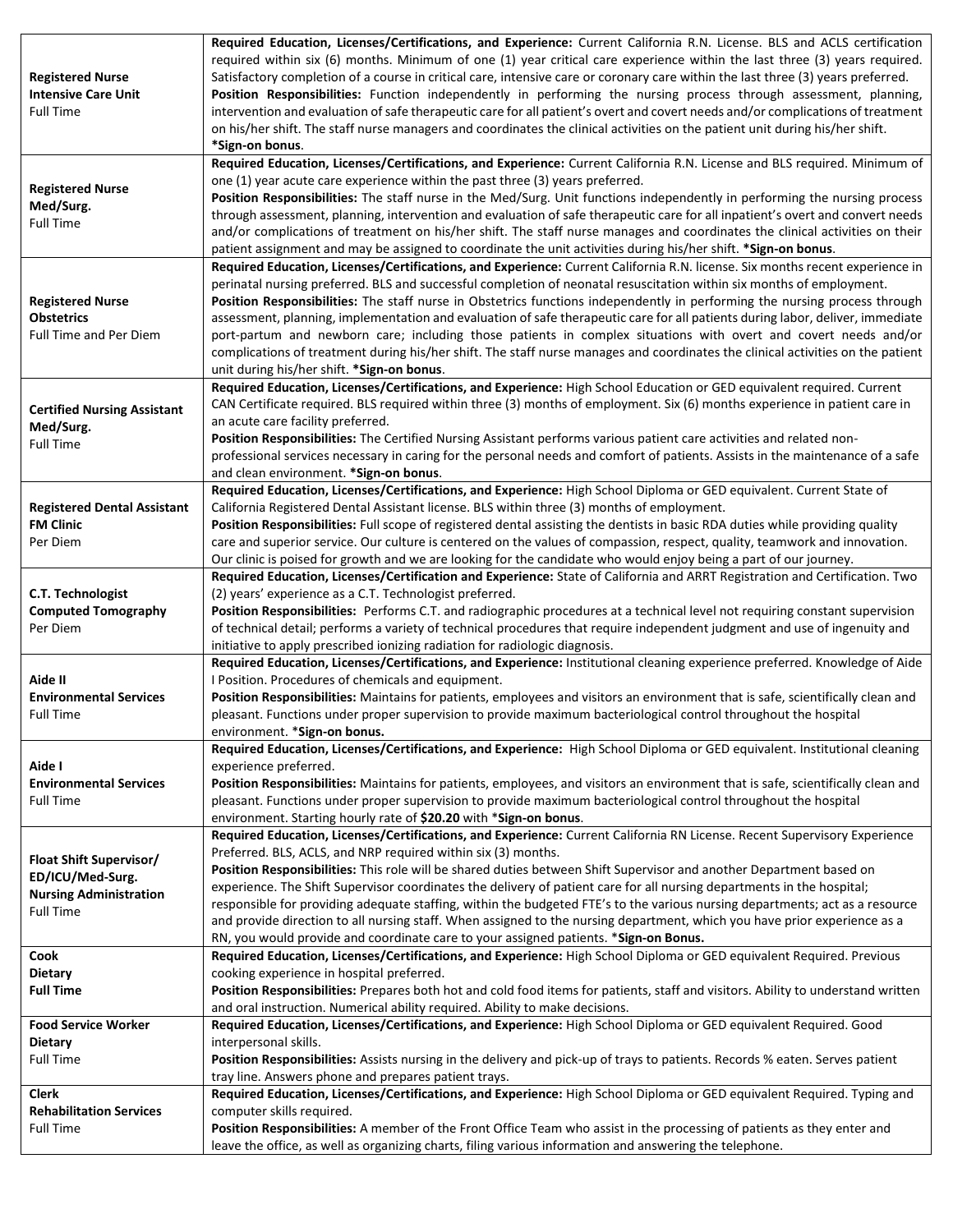| <b>Registered Nurse</b><br><b>Intensive Care Unit</b><br><b>Full Time</b>                        | Required Education, Licenses/Certifications, and Experience: Current California R.N. License. BLS and ACLS certification<br>required within six (6) months. Minimum of one (1) year critical care experience within the last three (3) years required.<br>Satisfactory completion of a course in critical care, intensive care or coronary care within the last three (3) years preferred.<br>Position Responsibilities: Function independently in performing the nursing process through assessment, planning,<br>intervention and evaluation of safe therapeutic care for all patient's overt and covert needs and/or complications of treatment<br>on his/her shift. The staff nurse managers and coordinates the clinical activities on the patient unit during his/her shift.<br>*Sign-on bonus.                      |
|--------------------------------------------------------------------------------------------------|----------------------------------------------------------------------------------------------------------------------------------------------------------------------------------------------------------------------------------------------------------------------------------------------------------------------------------------------------------------------------------------------------------------------------------------------------------------------------------------------------------------------------------------------------------------------------------------------------------------------------------------------------------------------------------------------------------------------------------------------------------------------------------------------------------------------------|
| <b>Registered Nurse</b><br>Med/Surg.<br><b>Full Time</b>                                         | Required Education, Licenses/Certifications, and Experience: Current California R.N. License and BLS required. Minimum of<br>one (1) year acute care experience within the past three (3) years preferred.<br>Position Responsibilities: The staff nurse in the Med/Surg. Unit functions independently in performing the nursing process<br>through assessment, planning, intervention and evaluation of safe therapeutic care for all inpatient's overt and convert needs<br>and/or complications of treatment on his/her shift. The staff nurse manages and coordinates the clinical activities on their<br>patient assignment and may be assigned to coordinate the unit activities during his/her shift. * Sign-on bonus.                                                                                              |
| <b>Registered Nurse</b><br><b>Obstetrics</b><br><b>Full Time and Per Diem</b>                    | Required Education, Licenses/Certifications, and Experience: Current California R.N. license. Six months recent experience in<br>perinatal nursing preferred. BLS and successful completion of neonatal resuscitation within six months of employment.<br>Position Responsibilities: The staff nurse in Obstetrics functions independently in performing the nursing process through<br>assessment, planning, implementation and evaluation of safe therapeutic care for all patients during labor, deliver, immediate<br>port-partum and newborn care; including those patients in complex situations with overt and covert needs and/or<br>complications of treatment during his/her shift. The staff nurse manages and coordinates the clinical activities on the patient<br>unit during his/her shift. *Sign-on bonus. |
| <b>Certified Nursing Assistant</b><br>Med/Surg.<br><b>Full Time</b>                              | Required Education, Licenses/Certifications, and Experience: High School Education or GED equivalent required. Current<br>CAN Certificate required. BLS required within three (3) months of employment. Six (6) months experience in patient care in<br>an acute care facility preferred.<br>Position Responsibilities: The Certified Nursing Assistant performs various patient care activities and related non-<br>professional services necessary in caring for the personal needs and comfort of patients. Assists in the maintenance of a safe<br>and clean environment. * Sign-on bonus.                                                                                                                                                                                                                             |
| <b>Registered Dental Assistant</b><br><b>FM Clinic</b><br>Per Diem                               | Required Education, Licenses/Certifications, and Experience: High School Diploma or GED equivalent. Current State of<br>California Registered Dental Assistant license. BLS within three (3) months of employment.<br>Position Responsibilities: Full scope of registered dental assisting the dentists in basic RDA duties while providing quality<br>care and superior service. Our culture is centered on the values of compassion, respect, quality, teamwork and innovation.<br>Our clinic is poised for growth and we are looking for the candidate who would enjoy being a part of our journey.                                                                                                                                                                                                                     |
| <b>C.T. Technologist</b><br><b>Computed Tomography</b><br>Per Diem                               | Required Education, Licenses/Certification and Experience: State of California and ARRT Registration and Certification. Two<br>(2) years' experience as a C.T. Technologist preferred.<br>Position Responsibilities: Performs C.T. and radiographic procedures at a technical level not requiring constant supervision<br>of technical detail; performs a variety of technical procedures that require independent judgment and use of ingenuity and<br>initiative to apply prescribed ionizing radiation for radiologic diagnosis.                                                                                                                                                                                                                                                                                        |
| Aide II<br><b>Environmental Services</b><br><b>Full Time</b>                                     | Required Education, Licenses/Certifications, and Experience: Institutional cleaning experience preferred. Knowledge of Aide<br>I Position. Procedures of chemicals and equipment.<br>Position Responsibilities: Maintains for patients, employees and visitors an environment that is safe, scientifically clean and<br>pleasant. Functions under proper supervision to provide maximum bacteriological control throughout the hospital<br>environment. *Sign-on bonus.                                                                                                                                                                                                                                                                                                                                                    |
| Aide I<br><b>Environmental Services</b><br><b>Full Time</b>                                      | Required Education, Licenses/Certifications, and Experience: High School Diploma or GED equivalent. Institutional cleaning<br>experience preferred.<br>Position Responsibilities: Maintains for patients, employees, and visitors an environment that is safe, scientifically clean and<br>pleasant. Functions under proper supervision to provide maximum bacteriological control throughout the hospital<br>environment. Starting hourly rate of \$20.20 with *Sign-on bonus.                                                                                                                                                                                                                                                                                                                                            |
| Float Shift Supervisor/<br>ED/ICU/Med-Surg.<br><b>Nursing Administration</b><br><b>Full Time</b> | Required Education, Licenses/Certifications, and Experience: Current California RN License. Recent Supervisory Experience<br>Preferred. BLS, ACLS, and NRP required within six (3) months.<br>Position Responsibilities: This role will be shared duties between Shift Supervisor and another Department based on<br>experience. The Shift Supervisor coordinates the delivery of patient care for all nursing departments in the hospital;<br>responsible for providing adequate staffing, within the budgeted FTE's to the various nursing departments; act as a resource<br>and provide direction to all nursing staff. When assigned to the nursing department, which you have prior experience as a<br>RN, you would provide and coordinate care to your assigned patients. * Sign-on Bonus.                          |
| Cook<br><b>Dietary</b><br><b>Full Time</b>                                                       | Required Education, Licenses/Certifications, and Experience: High School Diploma or GED equivalent Required. Previous<br>cooking experience in hospital preferred.<br>Position Responsibilities: Prepares both hot and cold food items for patients, staff and visitors. Ability to understand written<br>and oral instruction. Numerical ability required. Ability to make decisions.                                                                                                                                                                                                                                                                                                                                                                                                                                     |
| <b>Food Service Worker</b><br><b>Dietary</b><br><b>Full Time</b>                                 | Required Education, Licenses/Certifications, and Experience: High School Diploma or GED equivalent Required. Good<br>interpersonal skills.<br>Position Responsibilities: Assists nursing in the delivery and pick-up of trays to patients. Records % eaten. Serves patient<br>tray line. Answers phone and prepares patient trays.                                                                                                                                                                                                                                                                                                                                                                                                                                                                                         |
| Clerk<br><b>Rehabilitation Services</b><br><b>Full Time</b>                                      | Required Education, Licenses/Certifications, and Experience: High School Diploma or GED equivalent Required. Typing and<br>computer skills required.<br>Position Responsibilities: A member of the Front Office Team who assist in the processing of patients as they enter and<br>leave the office, as well as organizing charts, filing various information and answering the telephone.                                                                                                                                                                                                                                                                                                                                                                                                                                 |